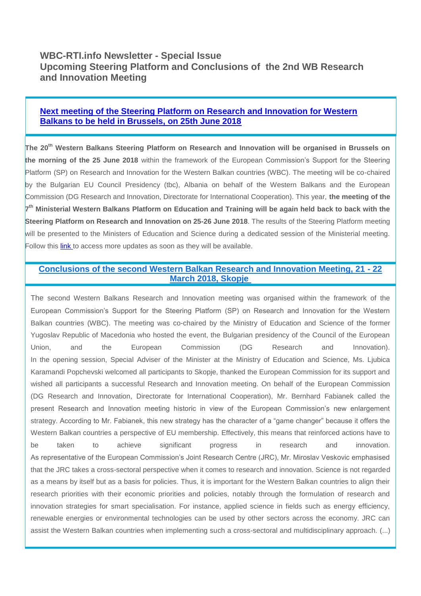# **WBC-RTI.info Newsletter - Special Issue Upcoming Steering Platform and Conclusions of the 2nd WB Research and Innovation Meeting**

# **[Next meeting of the Steering Platform on Research and Innovation for Western](https://wbc-rti.info/object/event/16857)  [Balkans to be held in Brussels, on 25th June 2018](https://wbc-rti.info/object/event/16857)**

**The 20th Western Balkans Steering Platform on Research and Innovation will be organised in Brussels on the morning of the 25 June 2018** within the framework of the European Commission's Support for the Steering Platform (SP) on Research and Innovation for the Western Balkan countries (WBC). The meeting will be co-chaired by the Bulgarian EU Council Presidency (tbc), Albania on behalf of the Western Balkans and the European Commission (DG Research and Innovation, Directorate for International Cooperation). This year, **the meeting of the 7 th Ministerial Western Balkans Platform on Education and Training will be again held back to back with the Steering Platform on Research and Innovation on 25-26 June 2018**. The results of the Steering Platform meeting will be presented to the Ministers of Education and Science during a dedicated session of the Ministerial meeting. Follow this [link t](https://wbc-rti.info/object/event/16857)o access more updates as soon as they will be available.

# **[Conclusions of the second Western Balkan Research and Innovation Meeting, 21 -](https://wbc-rti.info/object/news/17083) 22 [March 2018, Skopje](https://wbc-rti.info/object/news/17083)**

The second Western Balkans Research and Innovation meeting was organised within the framework of the European Commission's Support for the Steering Platform (SP) on Research and Innovation for the Western Balkan countries (WBC). The meeting was co-chaired by the Ministry of Education and Science of the former Yugoslav Republic of Macedonia who hosted the event, the Bulgarian presidency of the Council of the European Union, and the European Commission (DG Research and Innovation). In the opening session, Special Adviser of the Minister at the Ministry of Education and Science, Ms. Ljubica Karamandi Popchevski welcomed all participants to Skopje, thanked the European Commission for its support and wished all participants a successful Research and Innovation meeting. On behalf of the European Commission (DG Research and Innovation, Directorate for International Cooperation), Mr. Bernhard Fabianek called the present Research and Innovation meeting historic in view of the European Commission's new enlargement strategy. According to Mr. Fabianek, this new strategy has the character of a "game changer" because it offers the Western Balkan countries a perspective of EU membership. Effectively, this means that reinforced actions have to be taken to achieve significant progress in research and innovation. As representative of the European Commission's Joint Research Centre (JRC), Mr. Miroslav Veskovic emphasised that the JRC takes a cross-sectoral perspective when it comes to research and innovation. Science is not regarded as a means by itself but as a basis for policies. Thus, it is important for the Western Balkan countries to align their research priorities with their economic priorities and policies, notably through the formulation of research and innovation strategies for smart specialisation. For instance, applied science in fields such as energy efficiency, renewable energies or environmental technologies can be used by other sectors across the economy. JRC can assist the Western Balkan countries when implementing such a cross-sectoral and multidisciplinary approach. (...)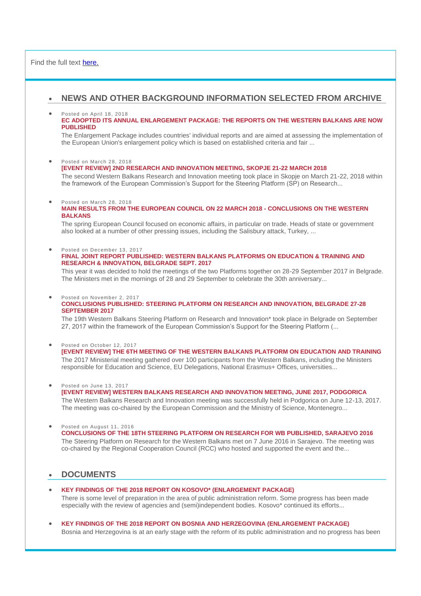## Find the full text [here.](https://wbc-rti.info/object/news/17083)

## **NEWS AND OTHER BACKGROUND INFORMATION SELECTED FROM ARCHIVE**

## Posted on April 18, 2018

## **[EC ADOPTED ITS ANNUAL ENLARGEMENT PACKAGE: THE REPORTS ON THE WESTERN BALKANS ARE NOW](https://wbc-rti.info/object/news/17066)  [PUBLISHED](https://wbc-rti.info/object/news/17066)**

The Enlargement Package includes countries' individual reports and are aimed at assessing the implementation of the European Union's enlargement policy which is based on established criteria and fair ...

### Posted on March 28, 2018

## **[\[EVENT REVIEW\] 2ND RESEARCH AND INNOVATION MEETING, SKOPJE 21-22 MARCH 2018](https://wbc-rti.info/object/news/17041)**

The second Western Balkans Research and Innovation meeting took place in Skopje on March 21-22, 2018 within the framework of the European Commission's Support for the Steering Platform (SP) on Research...

## Posted on March 28, 2018

## **[MAIN RESULTS FROM THE EUROPEAN COUNCIL ON 22 MARCH 2018 -](https://wbc-rti.info/object/news/17040) CONCLUSIONS ON THE WESTERN [BALKANS](https://wbc-rti.info/object/news/17040)**

The spring European Council focused on economic affairs, in particular on trade. Heads of state or government also looked at a number of other pressing issues, including the Salisbury attack, Turkey, ...

Posted on December 13, 2017

## **[FINAL JOINT REPORT PUBLISHED: WESTERN BALKANS PLATFORMS ON EDUCATION & TRAINING AND](https://wbc-rti.info/object/news/16683)  [RESEARCH & INNOVATION, BELGRADE SEPT. 2017](https://wbc-rti.info/object/news/16683)**

This year it was decided to hold the meetings of the two Platforms together on 28-29 September 2017 in Belgrade. The Ministers met in the mornings of 28 and 29 September to celebrate the 30th anniversary...

#### Posted on November 2, 2017 **[CONCLUSIONS PUBLISHED: STEERING PLATFORM ON RESEARCH AND INNOVATION, BELGRADE 27-28](https://wbc-rti.info/object/news/16578)**

#### **[SEPTEMBER 2017](https://wbc-rti.info/object/news/16578)**

The 19th Western Balkans Steering Platform on Research and Innovation\* took place in Belgrade on September 27, 2017 within the framework of the European Commission's Support for the Steering Platform (...

 Posted on October 12, 2017 **[\[EVENT REVIEW\] THE 6TH MEETING OF THE WESTERN BALKANS PLATFORM ON EDUCATION AND TRAINING](https://wbc-rti.info/object/news/16546)**  The 2017 Ministerial meeting gathered over 100 participants from the Western Balkans, including the Ministers responsible for Education and Science, EU Delegations, National Erasmus+ Offices, universities...

## Posted on June 13, 2017

## **[\[EVENT REVIEW\] WESTERN BALKANS RESEARCH AND INNOVATION MEETING, JUNE 2017, PODGORICA](https://wbc-rti.info/object/news/16211)** The Western Balkans Research and Innovation meeting was successfully held in Podgorica on June 12-13, 2017. The meeting was co-chaired by the European Commission and the Ministry of Science, Montenegro...

## Posted on August 11, 2016

## **[CONCLUSIONS OF THE 18TH STEERING PLATFORM ON RESEARCH FOR WB PUBLISHED, SARAJEVO 2016](https://wbc-rti.info/object/news/15251)** The Steering Platform on Research for the Western Balkans met on 7 June 2016 in Sarajevo. The meeting was co-chaired by the Regional Cooperation Council (RCC) who hosted and supported the event and the...

## **DOCUMENTS**

## **[KEY FINDINGS OF THE 2018 REPORT ON KOSOVO\\* \(ENLARGEMENT PACKAGE\)](https://wbc-rti.info/object/document/17072)**

There is some level of preparation in the area of public administration reform. Some progress has been made especially with the review of agencies and (semi)independent bodies. Kosovo\* continued its efforts...

 **[KEY FINDINGS OF THE 2018 REPORT ON BOSNIA AND HERZEGOVINA \(ENLARGEMENT PACKAGE\)](https://wbc-rti.info/object/document/17071)** Bosnia and Herzegovina is at an early stage with the reform of its public administration and no progress has been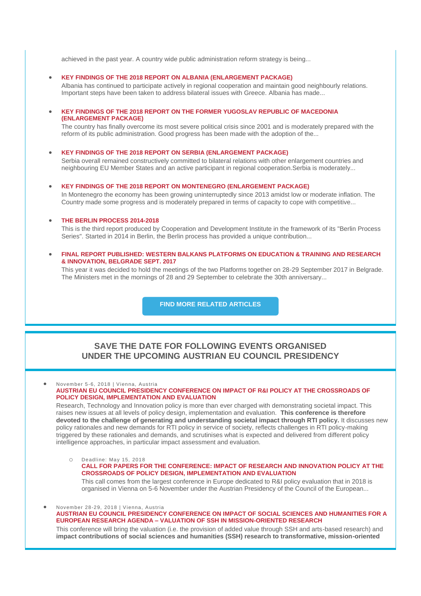achieved in the past year. A country wide public administration reform strategy is being...

**[KEY FINDINGS OF THE 2018 REPORT ON ALBANIA \(ENLARGEMENT PACKAGE\)](https://wbc-rti.info/object/document/17070)**

Albania has continued to participate actively in regional cooperation and maintain good neighbourly relations. Important steps have been taken to address bilateral issues with Greece. Albania has made...

 **[KEY FINDINGS OF THE 2018 REPORT ON THE FORMER YUGOSLAV REPUBLIC OF MACEDONIA](https://wbc-rti.info/object/document/17069)  [\(ENLARGEMENT PACKAGE\)](https://wbc-rti.info/object/document/17069)**

The country has finally overcome its most severe political crisis since 2001 and is moderately prepared with the reform of its public administration. Good progress has been made with the adoption of the...

**[KEY FINDINGS OF THE 2018 REPORT ON SERBIA \(ENLARGEMENT PACKAGE\)](https://wbc-rti.info/object/document/17068)**

Serbia overall remained constructively committed to bilateral relations with other enlargement countries and neighbouring EU Member States and an active participant in regional cooperation.Serbia is moderately...

 **[KEY FINDINGS OF THE 2018 REPORT ON MONTENEGRO \(ENLARGEMENT PACKAGE\)](https://wbc-rti.info/object/document/17067)** In Montenegro the economy has been growing uninterruptedly since 2013 amidst low or moderate inflation. The Country made some progress and is moderately prepared in terms of capacity to cope with competitive...

### **[THE BERLIN PROCESS 2014-2018](https://wbc-rti.info/object/document/17032)**

This is the third report produced by Cooperation and Development Institute in the framework of its "Berlin Process Series". Started in 2014 in Berlin, the Berlin process has provided a unique contribution...

 **[FINAL REPORT PUBLISHED: WESTERN BALKANS PLATFORMS ON EDUCATION & TRAINING AND RESEARCH](https://wbc-rti.info/object/document/16682)  [& INNOVATION, BELGRADE SEPT. 2017](https://wbc-rti.info/object/document/16682)**

This year it was decided to hold the meetings of the two Platforms together on 28-29 September 2017 in Belgrade. The Ministers met in the mornings of 28 and 29 September to celebrate the 30th anniversary...

**[FIND MORE RELATED ARTICLES](https://wbc-rti.info/theme/16)**

## **SAVE THE DATE FOR FOLLOWING EVENTS ORGANISED UNDER THE UPCOMING AUSTRIAN EU COUNCIL PRESIDENCY**

 November 5-6, 2018 | Vienna, Austria **[AUSTRIAN EU COUNCIL PRESIDENCY CONFERENCE ON IMPACT OF R&I POLICY AT THE CROSSROADS OF](https://wbc-rti.info/object/event/16839)  [POLICY DESIGN, IMPLEMENTATION AND EVALUATION](https://wbc-rti.info/object/event/16839)** Research, Technology and Innovation policy is more than ever charged with demonstrating societal impact. This raises new issues at all levels of policy design, implementation and evaluation. **This conference is therefore devoted to the challenge of generating and understanding societal impact through RTI policy.** It discusses new policy rationales and new demands for RTI policy in service of society, reflects challenges in RTI policy-making triggered by these rationales and demands, and scrutinises what is expected and delivered from different policy

intelligence approaches, in particular impact assessment and evaluation.

Deadline: May 15, 2018 **[CALL FOR PAPERS FOR THE CONFERENCE: IMPACT OF RESEARCH AND INNOVATION POLICY AT THE](https://wbc-rti.info/object/call/17077)  [CROSSROADS OF POLICY DESIGN, IMPLEMENTATION AND EVALUATION](https://wbc-rti.info/object/call/17077)** This call comes from the largest conference in Europe dedicated to R&I policy evaluation that in 2018 is organised in Vienna on 5-6 November under the Austrian Presidency of the Council of the European...

 November 28-29, 2018 | Vienna, Austria **[AUSTRIAN EU COUNCIL PRESIDENCY CONFERENCE ON IMPACT OF SOCIAL SCIENCES AND HUMANITIES FOR A](https://wbc-rti.info/object/event/17079)  EUROPEAN RESEARCH AGENDA – [VALUATION OF SSH IN MISSION-ORIENTED RESEARCH](https://wbc-rti.info/object/event/17079)** This conference will bring the valuation (i.e. the provision of added value through SSH and arts-based research) and **impact contributions of social sciences and humanities (SSH) research to transformative, mission-oriented**